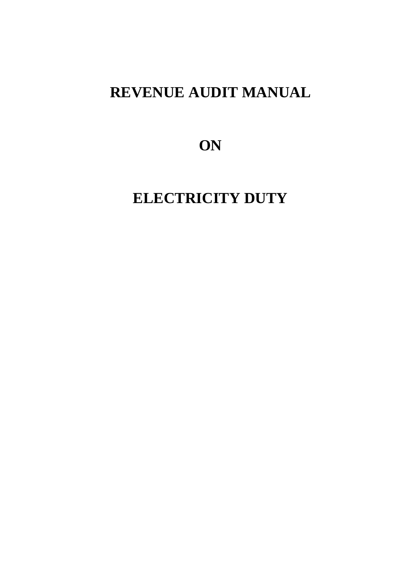## **REVENUE AUDIT MANUAL**

**ON**

**ELECTRICITY DUTY**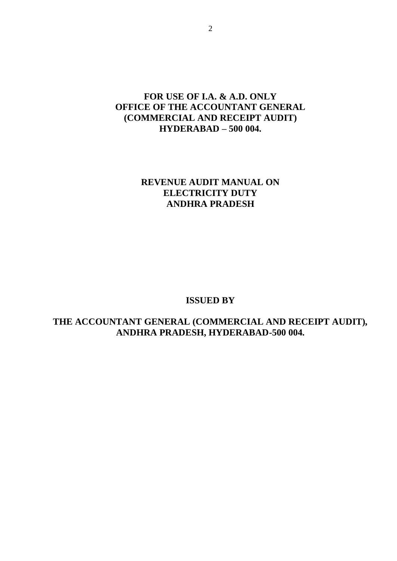## **FOR USE OF I.A. & A.D. ONLY OFFICE OF THE ACCOUNTANT GENERAL (COMMERCIAL AND RECEIPT AUDIT) HYDERABAD – 500 004.**

## **REVENUE AUDIT MANUAL ON ELECTRICITY DUTY ANDHRA PRADESH**

#### **ISSUED BY**

**THE ACCOUNTANT GENERAL (COMMERCIAL AND RECEIPT AUDIT), ANDHRA PRADESH, HYDERABAD-500 004.**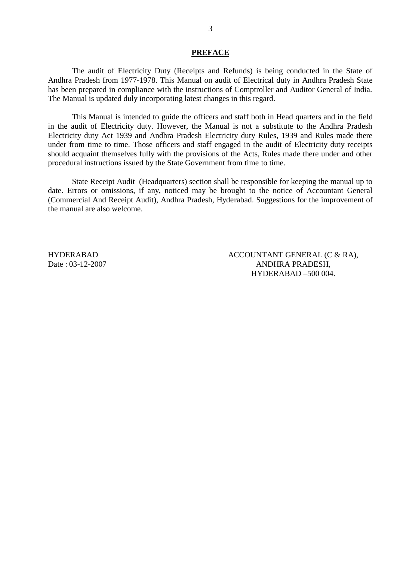#### **PREFACE**

The audit of Electricity Duty (Receipts and Refunds) is being conducted in the State of Andhra Pradesh from 1977-1978. This Manual on audit of Electrical duty in Andhra Pradesh State has been prepared in compliance with the instructions of Comptroller and Auditor General of India. The Manual is updated duly incorporating latest changes in this regard.

This Manual is intended to guide the officers and staff both in Head quarters and in the field in the audit of Electricity duty. However, the Manual is not a substitute to the Andhra Pradesh Electricity duty Act 1939 and Andhra Pradesh Electricity duty Rules, 1939 and Rules made there under from time to time. Those officers and staff engaged in the audit of Electricity duty receipts should acquaint themselves fully with the provisions of the Acts, Rules made there under and other procedural instructions issued by the State Government from time to time.

State Receipt Audit (Headquarters) section shall be responsible for keeping the manual up to date. Errors or omissions, if any, noticed may be brought to the notice of Accountant General (Commercial And Receipt Audit), Andhra Pradesh, Hyderabad. Suggestions for the improvement of the manual are also welcome.

HYDERABAD Date : 03-12-2007 ACCOUNTANT GENERAL (C & RA), ANDHRA PRADESH, HYDERABAD –500 004.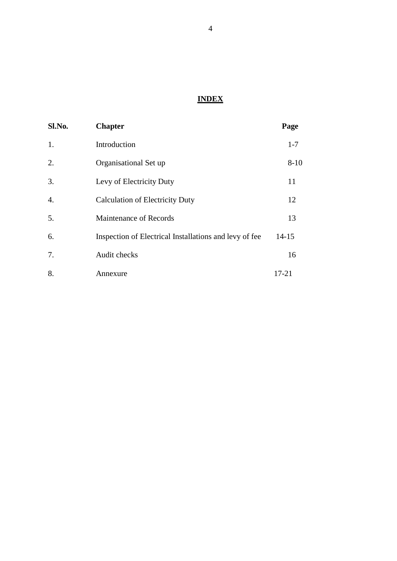## **INDEX**

| Sl.No.           | <b>Chapter</b>                                         | Page      |
|------------------|--------------------------------------------------------|-----------|
| 1.               | Introduction                                           | $1 - 7$   |
| 2.               | Organisational Set up                                  | $8 - 10$  |
| 3.               | Levy of Electricity Duty                               | 11        |
| $\overline{4}$ . | <b>Calculation of Electricity Duty</b>                 | 12        |
| 5.               | Maintenance of Records                                 | 13        |
| 6.               | Inspection of Electrical Installations and levy of fee | $14 - 15$ |
| 7.               | Audit checks                                           | 16        |
| 8.               | Annexure                                               | $17 - 21$ |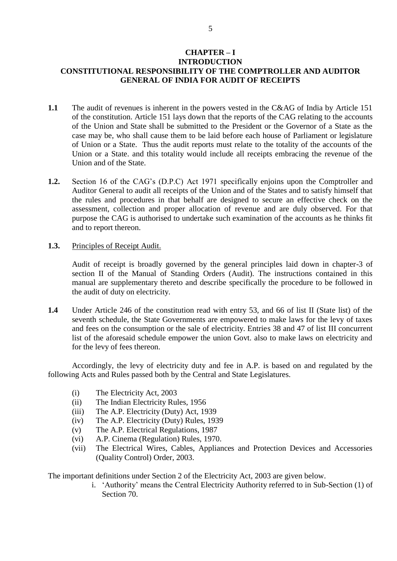#### **CHAPTER – I INTRODUCTION CONSTITUTIONAL RESPONSIBILITY OF THE COMPTROLLER AND AUDITOR GENERAL OF INDIA FOR AUDIT OF RECEIPTS**

- **1.1** The audit of revenues is inherent in the powers vested in the C&AG of India by Article 151 of the constitution. Article 151 lays down that the reports of the CAG relating to the accounts of the Union and State shall be submitted to the President or the Governor of a State as the case may be, who shall cause them to be laid before each house of Parliament or legislature of Union or a State. Thus the audit reports must relate to the totality of the accounts of the Union or a State. and this totality would include all receipts embracing the revenue of the Union and of the State.
- **1.2.** Section 16 of the CAG's (D.P.C) Act 1971 specifically enjoins upon the Comptroller and Auditor General to audit all receipts of the Union and of the States and to satisfy himself that the rules and procedures in that behalf are designed to secure an effective check on the assessment, collection and proper allocation of revenue and are duly observed. For that purpose the CAG is authorised to undertake such examination of the accounts as he thinks fit and to report thereon.
- **1.3.** Principles of Receipt Audit.

Audit of receipt is broadly governed by the general principles laid down in chapter-3 of section II of the Manual of Standing Orders (Audit). The instructions contained in this manual are supplementary thereto and describe specifically the procedure to be followed in the audit of duty on electricity.

**1.4** Under Article 246 of the constitution read with entry 53, and 66 of list II (State list) of the seventh schedule, the State Governments are empowered to make laws for the levy of taxes and fees on the consumption or the sale of electricity. Entries 38 and 47 of list III concurrent list of the aforesaid schedule empower the union Govt. also to make laws on electricity and for the levy of fees thereon.

Accordingly, the levy of electricity duty and fee in A.P. is based on and regulated by the following Acts and Rules passed both by the Central and State Legislatures.

- (i) The Electricity Act, 2003
- (ii) The Indian Electricity Rules, 1956
- (iii) The A.P. Electricity (Duty) Act, 1939
- (iv) The A.P. Electricity (Duty) Rules, 1939
- (v) The A.P. Electrical Regulations, 1987
- (vi) A.P. Cinema (Regulation) Rules, 1970.
- (vii) The Electrical Wires, Cables, Appliances and Protection Devices and Accessories (Quality Control) Order, 2003.

The important definitions under Section 2 of the Electricity Act, 2003 are given below.

i. 'Authority' means the Central Electricity Authority referred to in Sub-Section (1) of Section 70.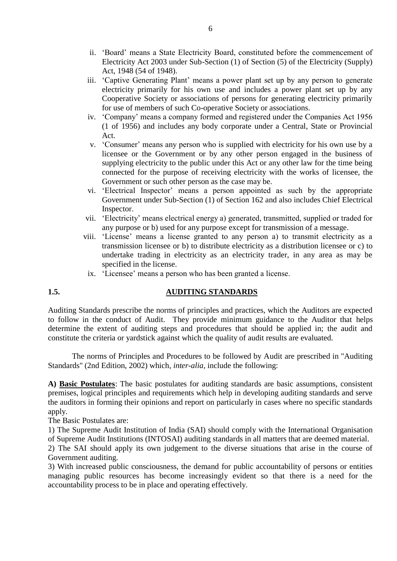- ii. 'Board' means a State Electricity Board, constituted before the commencement of Electricity Act 2003 under Sub-Section (1) of Section (5) of the Electricity (Supply) Act, 1948 (54 of 1948).
- iii. 'Captive Generating Plant' means a power plant set up by any person to generate electricity primarily for his own use and includes a power plant set up by any Cooperative Society or associations of persons for generating electricity primarily for use of members of such Co-operative Society or associations.
- iv. 'Company' means a company formed and registered under the Companies Act 1956 (1 of 1956) and includes any body corporate under a Central, State or Provincial Act.
- v. 'Consumer' means any person who is supplied with electricity for his own use by a licensee or the Government or by any other person engaged in the business of supplying electricity to the public under this Act or any other law for the time being connected for the purpose of receiving electricity with the works of licensee, the Government or such other person as the case may be.
- vi. 'Electrical Inspector' means a person appointed as such by the appropriate Government under Sub-Section (1) of Section 162 and also includes Chief Electrical Inspector.
- vii. 'Electricity' means electrical energy a) generated, transmitted, supplied or traded for any purpose or b) used for any purpose except for transmission of a message.
- viii. 'License' means a license granted to any person a) to transmit electricity as a transmission licensee or b) to distribute electricity as a distribution licensee or c) to undertake trading in electricity as an electricity trader, in any area as may be specified in the license.
	- ix. 'Licensee' means a person who has been granted a license.

#### **1.5. AUDITING STANDARDS**

Auditing Standards prescribe the norms of principles and practices, which the Auditors are expected to follow in the conduct of Audit. They provide minimum guidance to the Auditor that helps determine the extent of auditing steps and procedures that should be applied in; the audit and constitute the criteria or yardstick against which the quality of audit results are evaluated.

The norms of Principles and Procedures to be followed by Audit are prescribed in "Auditing Standards" (2nd Edition, 2002) which*, inter-alia,* include the following:

**A) Basic Postulates**: The basic postulates for auditing standards are basic assumptions, consistent premises, logical principles and requirements which help in developing auditing standards and serve the auditors in forming their opinions and report on particularly in cases where no specific standards apply.

The Basic Postulates are:

1) The Supreme Audit Institution of India (SAI) should comply with the International Organisation of Supreme Audit Institutions (INTOSAI) auditing standards in all matters that are deemed material.

2) The SAI should apply its own judgement to the diverse situations that arise in the course of Government auditing.

3) With increased public consciousness, the demand for public accountability of persons or entities managing public resources has become increasingly evident so that there is a need for the accountability process to be in place and operating effectively.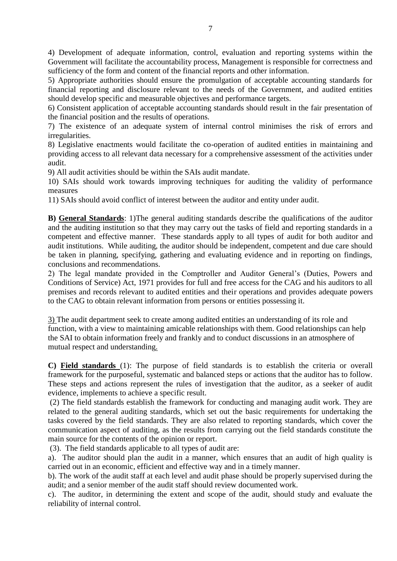4) Development of adequate information, control, evaluation and reporting systems within the Government will facilitate the accountability process, Management is responsible for correctness and sufficiency of the form and content of the financial reports and other information.

5) Appropriate authorities should ensure the promulgation of acceptable accounting standards for financial reporting and disclosure relevant to the needs of the Government, and audited entities should develop specific and measurable objectives and performance targets.

6) Consistent application of acceptable accounting standards should result in the fair presentation of the financial position and the results of operations.

7) The existence of an adequate system of internal control minimises the risk of errors and irregularities.

8) Legislative enactments would facilitate the co-operation of audited entities in maintaining and providing access to all relevant data necessary for a comprehensive assessment of the activities under audit.

9) All audit activities should be within the SAIs audit mandate.

10) SAIs should work towards improving techniques for auditing the validity of performance measures

11) SAIs should avoid conflict of interest between the auditor and entity under audit.

**B) General Standards**: 1)The general auditing standards describe the qualifications of the auditor and the auditing institution so that they may carry out the tasks of field and reporting standards in a competent and effective manner. These standards apply to all types of audit for both auditor and audit institutions. While auditing, the auditor should be independent, competent and due care should be taken in planning, specifying, gathering and evaluating evidence and in reporting on findings, conclusions and recommendations.

2) The legal mandate provided in the Comptroller and Auditor General's (Duties, Powers and Conditions of Service) Act, 1971 provides for full and free access for the CAG and his auditors to all premises and records relevant to audited entities and their operations and provides adequate powers to the CAG to obtain relevant information from persons or entities possessing it.

3) The audit department seek to create among audited entities an understanding of its role and function, with a view to maintaining amicable relationships with them. Good relationships can help the SAI to obtain information freely and frankly and to conduct discussions in an atmosphere of mutual respect and understanding.

**C) Field standards** (1): The purpose of field standards is to establish the criteria or overall framework for the purposeful, systematic and balanced steps or actions that the auditor has to follow. These steps and actions represent the rules of investigation that the auditor, as a seeker of audit evidence, implements to achieve a specific result.

(2) The field standards establish the framework for conducting and managing audit work. They are related to the general auditing standards, which set out the basic requirements for undertaking the tasks covered by the field standards. They are also related to reporting standards, which cover the communication aspect of auditing, as the results from carrying out the field standards constitute the main source for the contents of the opinion or report.

(3). The field standards applicable to all types of audit are:

a). The auditor should plan the audit in a manner, which ensures that an audit of high quality is carried out in an economic, efficient and effective way and in a timely manner.

b). The work of the audit staff at each level and audit phase should be properly supervised during the audit; and a senior member of the audit staff should review documented work.

c). The auditor, in determining the extent and scope of the audit, should study and evaluate the reliability of internal control.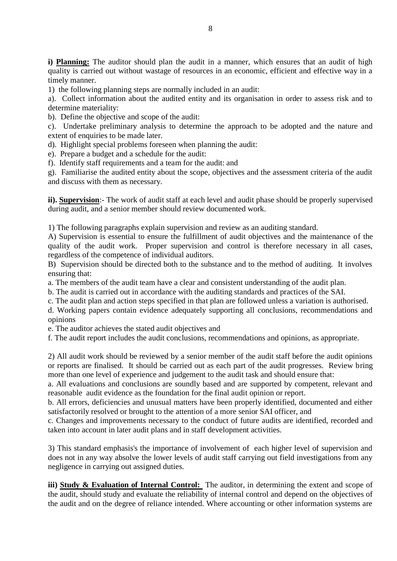**i) Planning:** The auditor should plan the audit in a manner, which ensures that an audit of high quality is carried out without wastage of resources in an economic, efficient and effective way in a timely manner.

1) the following planning steps are normally included in an audit:

a). Collect information about the audited entity and its organisation in order to assess risk and to determine materiality:

b). Define the objective and scope of the audit:

c). Undertake preliminary analysis to determine the approach to be adopted and the nature and extent of enquiries to be made later.

d). Highlight special problems foreseen when planning the audit:

e). Prepare a budget and a schedule for the audit:

f). Identify staff requirements and a team for the audit: and

g). Familiarise the audited entity about the scope, objectives and the assessment criteria of the audit and discuss with them as necessary.

**ii). Supervision**:- The work of audit staff at each level and audit phase should be properly supervised during audit, and a senior member should review documented work.

1) The following paragraphs explain supervision and review as an auditing standard.

A) Supervision is essential to ensure the fulfillment of audit objectives and the maintenance of the quality of the audit work. Proper supervision and control is therefore necessary in all cases, regardless of the competence of individual auditors.

B) Supervision should be directed both to the substance and to the method of auditing. It involves ensuring that:

a. The members of the audit team have a clear and consistent understanding of the audit plan.

b. The audit is carried out in accordance with the auditing standards and practices of the SAI.

c. The audit plan and action steps specified in that plan are followed unless a variation is authorised.

d. Working papers contain evidence adequately supporting all conclusions, recommendations and opinions

e. The auditor achieves the stated audit objectives and

f. The audit report includes the audit conclusions, recommendations and opinions, as appropriate.

2) All audit work should be reviewed by a senior member of the audit staff before the audit opinions or reports are finalised. It should be carried out as each part of the audit progresses. Review bring more than one level of experience and judgement to the audit task and should ensure that:

a. All evaluations and conclusions are soundly based and are supported by competent, relevant and reasonable audit evidence as the foundation for the final audit opinion or report.

b. All errors, deficiencies and unusual matters have been properly identified, documented and either satisfactorily resolved or brought to the attention of a more senior SAI officer, and

c. Changes and improvements necessary to the conduct of future audits are identified, recorded and taken into account in later audit plans and in staff development activities.

3) This standard emphasis's the importance of involvement of each higher level of supervision and does not in any way absolve the lower levels of audit staff carrying out field investigations from any negligence in carrying out assigned duties.

**iii) Study & Evaluation of Internal Control:** The auditor, in determining the extent and scope of the audit, should study and evaluate the reliability of internal control and depend on the objectives of the audit and on the degree of reliance intended. Where accounting or other information systems are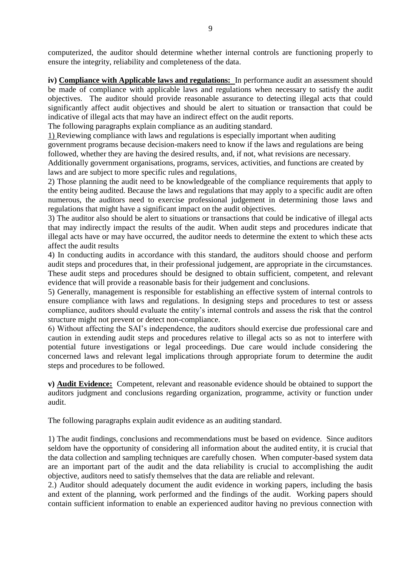computerized, the auditor should determine whether internal controls are functioning properly to ensure the integrity, reliability and completeness of the data.

**iv) Compliance with Applicable laws and regulations:** In performance audit an assessment should be made of compliance with applicable laws and regulations when necessary to satisfy the audit objectives. The auditor should provide reasonable assurance to detecting illegal acts that could significantly affect audit objectives and should be alert to situation or transaction that could be indicative of illegal acts that may have an indirect effect on the audit reports.

The following paragraphs explain compliance as an auditing standard.

1) Reviewing compliance with laws and regulations is especially important when auditing

government programs because decision-makers need to know if the laws and regulations are being followed, whether they are having the desired results, and, if not, what revisions are necessary.

Additionally government organisations, programs, services, activities, and functions are created by laws and are subject to more specific rules and regulations.

2) Those planning the audit need to be knowledgeable of the compliance requirements that apply to the entity being audited. Because the laws and regulations that may apply to a specific audit are often numerous, the auditors need to exercise professional judgement in determining those laws and regulations that might have a significant impact on the audit objectives.

3) The auditor also should be alert to situations or transactions that could be indicative of illegal acts that may indirectly impact the results of the audit. When audit steps and procedures indicate that illegal acts have or may have occurred, the auditor needs to determine the extent to which these acts affect the audit results

4) In conducting audits in accordance with this standard, the auditors should choose and perform audit steps and procedures that, in their professional judgement, are appropriate in the circumstances. These audit steps and procedures should be designed to obtain sufficient, competent, and relevant evidence that will provide a reasonable basis for their judgement and conclusions.

5) Generally, management is responsible for establishing an effective system of internal controls to ensure compliance with laws and regulations. In designing steps and procedures to test or assess compliance, auditors should evaluate the entity's internal controls and assess the risk that the control structure might not prevent or detect non-compliance.

6) Without affecting the SAI's independence, the auditors should exercise due professional care and caution in extending audit steps and procedures relative to illegal acts so as not to interfere with potential future investigations or legal proceedings. Due care would include considering the concerned laws and relevant legal implications through appropriate forum to determine the audit steps and procedures to be followed.

**v) Audit Evidence:** Competent, relevant and reasonable evidence should be obtained to support the auditors judgment and conclusions regarding organization, programme, activity or function under audit.

The following paragraphs explain audit evidence as an auditing standard.

1) The audit findings, conclusions and recommendations must be based on evidence. Since auditors seldom have the opportunity of considering all information about the audited entity, it is crucial that the data collection and sampling techniques are carefully chosen. When computer-based system data are an important part of the audit and the data reliability is crucial to accomplishing the audit objective, auditors need to satisfy themselves that the data are reliable and relevant.

2.) Auditor should adequately document the audit evidence in working papers, including the basis and extent of the planning, work performed and the findings of the audit. Working papers should contain sufficient information to enable an experienced auditor having no previous connection with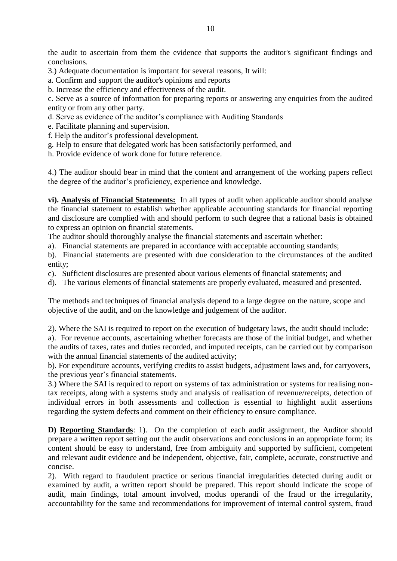the audit to ascertain from them the evidence that supports the auditor's significant findings and conclusions.

3.) Adequate documentation is important for several reasons, It will:

a. Confirm and support the auditor's opinions and reports

b. Increase the efficiency and effectiveness of the audit.

c. Serve as a source of information for preparing reports or answering any enquiries from the audited entity or from any other party.

- d. Serve as evidence of the auditor's compliance with Auditing Standards
- e. Facilitate planning and supervision.
- f. Help the auditor's professional development.
- g. Help to ensure that delegated work has been satisfactorily performed, and
- h. Provide evidence of work done for future reference.

4.) The auditor should bear in mind that the content and arrangement of the working papers reflect the degree of the auditor's proficiency, experience and knowledge.

**vi). Analysis of Financial Statements:** In all types of audit when applicable auditor should analyse the financial statement to establish whether applicable accounting standards for financial reporting and disclosure are complied with and should perform to such degree that a rational basis is obtained to express an opinion on financial statements.

The auditor should thoroughly analyse the financial statements and ascertain whether:

a). Financial statements are prepared in accordance with acceptable accounting standards;

b). Financial statements are presented with due consideration to the circumstances of the audited entity;

- c). Sufficient disclosures are presented about various elements of financial statements; and
- d). The various elements of financial statements are properly evaluated, measured and presented.

The methods and techniques of financial analysis depend to a large degree on the nature, scope and objective of the audit, and on the knowledge and judgement of the auditor.

2). Where the SAI is required to report on the execution of budgetary laws, the audit should include:

a). For revenue accounts, ascertaining whether forecasts are those of the initial budget, and whether the audits of taxes, rates and duties recorded, and imputed receipts, can be carried out by comparison with the annual financial statements of the audited activity;

b). For expenditure accounts, verifying credits to assist budgets, adjustment laws and, for carryovers, the previous year's financial statements.

3.) Where the SAI is required to report on systems of tax administration or systems for realising nontax receipts, along with a systems study and analysis of realisation of revenue/receipts, detection of individual errors in both assessments and collection is essential to highlight audit assertions regarding the system defects and comment on their efficiency to ensure compliance.

**D) Reporting Standards**: 1). On the completion of each audit assignment, the Auditor should prepare a written report setting out the audit observations and conclusions in an appropriate form; its content should be easy to understand, free from ambiguity and supported by sufficient, competent and relevant audit evidence and be independent, objective, fair, complete, accurate, constructive and concise.

2). With regard to fraudulent practice or serious financial irregularities detected during audit or examined by audit, a written report should be prepared. This report should indicate the scope of audit, main findings, total amount involved, modus operandi of the fraud or the irregularity, accountability for the same and recommendations for improvement of internal control system, fraud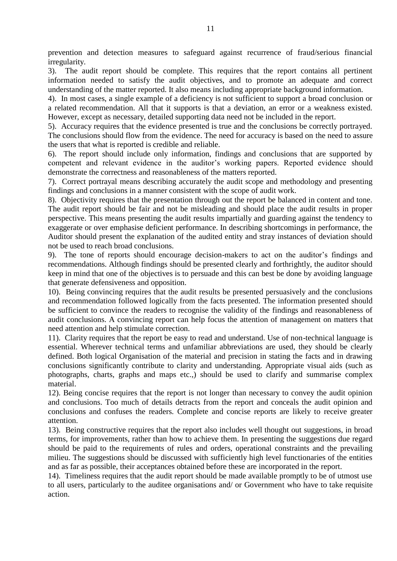prevention and detection measures to safeguard against recurrence of fraud/serious financial irregularity.

3). The audit report should be complete. This requires that the report contains all pertinent information needed to satisfy the audit objectives, and to promote an adequate and correct understanding of the matter reported. It also means including appropriate background information.

4). In most cases, a single example of a deficiency is not sufficient to support a broad conclusion or a related recommendation. All that it supports is that a deviation, an error or a weakness existed. However, except as necessary, detailed supporting data need not be included in the report.

5). Accuracy requires that the evidence presented is true and the conclusions be correctly portrayed. The conclusions should flow from the evidence. The need for accuracy is based on the need to assure the users that what is reported is credible and reliable.

6). The report should include only information, findings and conclusions that are supported by competent and relevant evidence in the auditor's working papers. Reported evidence should demonstrate the correctness and reasonableness of the matters reported.

7). Correct portrayal means describing accurately the audit scope and methodology and presenting findings and conclusions in a manner consistent with the scope of audit work.

8). Objectivity requires that the presentation through out the report be balanced in content and tone. The audit report should be fair and not be misleading and should place the audit results in proper perspective. This means presenting the audit results impartially and guarding against the tendency to exaggerate or over emphasise deficient performance. In describing shortcomings in performance, the Auditor should present the explanation of the audited entity and stray instances of deviation should not be used to reach broad conclusions.

9). The tone of reports should encourage decision-makers to act on the auditor's findings and recommendations. Although findings should be presented clearly and forthrightly, the auditor should keep in mind that one of the objectives is to persuade and this can best be done by avoiding language that generate defensiveness and opposition.

10). Being convincing requires that the audit results be presented persuasively and the conclusions and recommendation followed logically from the facts presented. The information presented should be sufficient to convince the readers to recognise the validity of the findings and reasonableness of audit conclusions. A convincing report can help focus the attention of management on matters that need attention and help stimulate correction.

11). Clarity requires that the report be easy to read and understand. Use of non-technical language is essential. Wherever technical terms and unfamiliar abbreviations are used, they should be clearly defined. Both logical Organisation of the material and precision in stating the facts and in drawing conclusions significantly contribute to clarity and understanding. Appropriate visual aids (such as photographs, charts, graphs and maps etc.,) should be used to clarify and summarise complex material.

12). Being concise requires that the report is not longer than necessary to convey the audit opinion and conclusions. Too much of details detracts from the report and conceals the audit opinion and conclusions and confuses the readers. Complete and concise reports are likely to receive greater attention.

13). Being constructive requires that the report also includes well thought out suggestions, in broad terms, for improvements, rather than how to achieve them. In presenting the suggestions due regard should be paid to the requirements of rules and orders, operational constraints and the prevailing milieu. The suggestions should be discussed with sufficiently high level functionaries of the entities and as far as possible, their acceptances obtained before these are incorporated in the report.

14). Timeliness requires that the audit report should be made available promptly to be of utmost use to all users, particularly to the auditee organisations and/ or Government who have to take requisite action.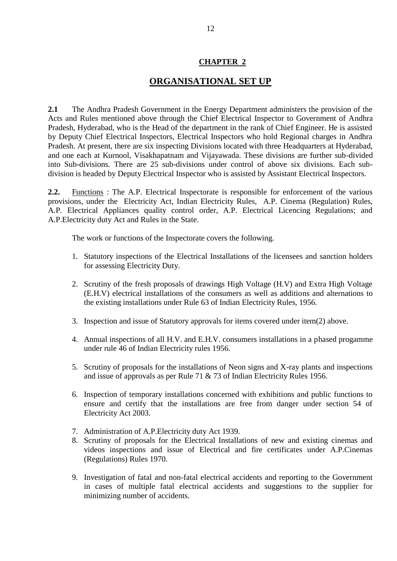## **ORGANISATIONAL SET UP**

**2.1** The Andhra Pradesh Government in the Energy Department administers the provision of the Acts and Rules mentioned above through the Chief Electrical Inspector to Government of Andhra Pradesh, Hyderabad, who is the Head of the department in the rank of Chief Engineer. He is assisted by Deputy Chief Electrical Inspectors, Electrical Inspectors who hold Regional charges in Andhra Pradesh. At present, there are six inspecting Divisions located with three Headquarters at Hyderabad, and one each at Kurnool, Visakhapatnam and Vijayawada. These divisions are further sub-divided into Sub-divisions. There are 25 sub-divisions under control of above six divisions. Each subdivision is headed by Deputy Electrical Inspector who is assisted by Assistant Electrical Inspectors.

**2.2.** Functions : The A.P. Electrical Inspectorate is responsible for enforcement of the various provisions, under the Electricity Act, Indian Electricity Rules, A.P. Cinema (Regulation) Rules, A.P. Electrical Appliances quality control order, A.P. Electrical Licencing Regulations; and A.P.Electricity duty Act and Rules in the State.

The work or functions of the Inspectorate covers the following.

- 1. Statutory inspections of the Electrical Installations of the licensees and sanction holders for assessing Electricity Duty.
- 2. Scrutiny of the fresh proposals of drawings High Voltage (H.V) and Extra High Voltage (E.H.V) electrical installations of the consumers as well as additions and alternations to the existing installations under Rule 63 of Indian Electricity Rules, 1956.
- 3. Inspection and issue of Statutory approvals for items covered under item(2) above.
- 4. Annual inspections of all H.V. and E.H.V. consumers installations in a phased progamme under rule 46 of Indian Electricity rules 1956.
- 5. Scrutiny of proposals for the installations of Neon signs and X-ray plants and inspections and issue of approvals as per Rule 71 & 73 of Indian Electricity Rules 1956.
- 6. Inspection of temporary installations concerned with exhibitions and public functions to ensure and certify that the installations are free from danger under section 54 of Electricity Act 2003.
- 7. Administration of A.P.Electricity duty Act 1939.
- 8. Scrutiny of proposals for the Electrical Installations of new and existing cinemas and videos inspections and issue of Electrical and fire certificates under A.P.Cinemas (Regulations) Rules 1970.
- 9. Investigation of fatal and non-fatal electrical accidents and reporting to the Government in cases of multiple fatal electrical accidents and suggestions to the supplier for minimizing number of accidents.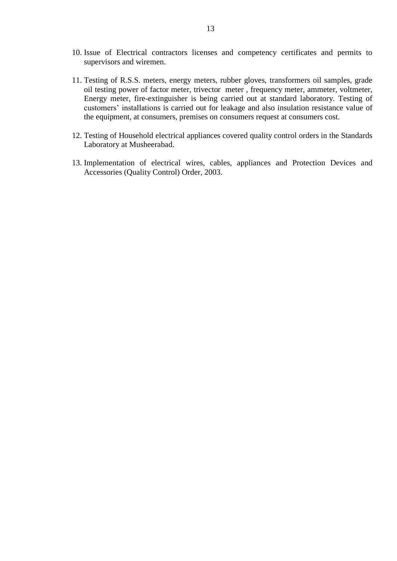- 10. Issue of Electrical contractors licenses and competency certificates and permits to supervisors and wiremen.
- 11. Testing of R.S.S. meters, energy meters, rubber gloves, transformers oil samples, grade oil testing power of factor meter, trivector meter , frequency meter, ammeter, voltmeter, Energy meter, fire-extinguisher is being carried out at standard laboratory. Testing of customers' installations is carried out for leakage and also insulation resistance value of the equipment, at consumers, premises on consumers request at consumers cost.
- 12. Testing of Household electrical appliances covered quality control orders in the Standards Laboratory at Musheerabad.
- 13. Implementation of electrical wires, cables, appliances and Protection Devices and Accessories (Quality Control) Order, 2003.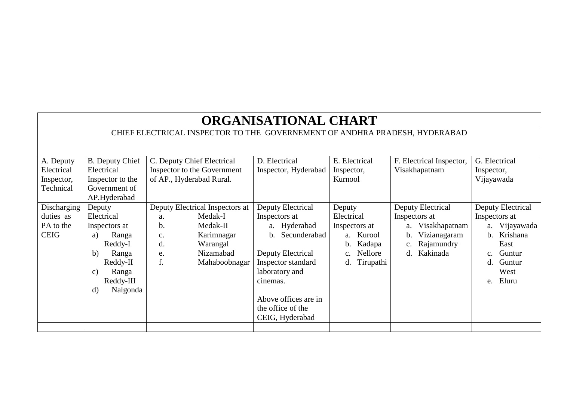| <b>ORGANISATIONAL CHART</b>                                                |                          |                                 |                         |                       |                            |                            |
|----------------------------------------------------------------------------|--------------------------|---------------------------------|-------------------------|-----------------------|----------------------------|----------------------------|
| CHIEF ELECTRICAL INSPECTOR TO THE GOVERNEMENT OF ANDHRA PRADESH, HYDERABAD |                          |                                 |                         |                       |                            |                            |
|                                                                            |                          |                                 |                         |                       |                            |                            |
| A. Deputy                                                                  | <b>B.</b> Deputy Chief   | C. Deputy Chief Electrical      | D. Electrical           | E. Electrical         | F. Electrical Inspector,   | G. Electrical              |
| Electrical                                                                 | Electrical               | Inspector to the Government     | Inspector, Hyderabad    | Inspector,            | Visakhapatnam              | Inspector,                 |
| Inspector,                                                                 | Inspector to the         | of AP., Hyderabad Rural.        |                         | Kurnool               |                            | Vijayawada                 |
| Technical                                                                  | Government of            |                                 |                         |                       |                            |                            |
|                                                                            | AP.Hyderabad             |                                 |                         |                       |                            |                            |
| Discharging                                                                | Deputy                   | Deputy Electrical Inspectors at | Deputy Electrical       | Deputy                | Deputy Electrical          | Deputy Electrical          |
| duties as                                                                  | Electrical               | Medak-I<br>a.                   | Inspectors at           | Electrical            | Inspectors at              | Inspectors at              |
| PA to the                                                                  | Inspectors at            | b.<br>Medak-II                  | a. Hyderabad            | Inspectors at         | Visakhapatnam<br>a.        | Vijayawada<br>a.           |
| <b>CEIG</b>                                                                | Ranga<br>a)              | Karimnagar<br>c.                | Secunderabad<br>$h_{-}$ | a. Kurool             | Vizianagaram<br>b.         | Krishana<br>$\mathbf{b}$ . |
|                                                                            | Reddy-I                  | d.<br>Warangal                  |                         | Kadapa<br>$b_{\cdot}$ | Rajamundry<br>c.           | East                       |
|                                                                            | Ranga<br>b)              | Nizamabad<br>e.                 | Deputy Electrical       | Nellore               | Kakinada<br>$\mathbf{d}$ . | Guntur<br>c.               |
|                                                                            | Reddy-II                 | f.<br>Mahaboobnagar             | Inspector standard      | Tirupathi<br>d.       |                            | Guntur<br>d.               |
|                                                                            | Ranga<br>$\mathbf{c})$   |                                 | laboratory and          |                       |                            | West                       |
|                                                                            | Reddy-III                |                                 | cinemas.                |                       |                            | Eluru<br>e.                |
|                                                                            | Nalgonda<br>$\mathbf{d}$ |                                 |                         |                       |                            |                            |
|                                                                            |                          |                                 | Above offices are in    |                       |                            |                            |
|                                                                            |                          |                                 | the office of the       |                       |                            |                            |
|                                                                            |                          |                                 | CEIG, Hyderabad         |                       |                            |                            |
|                                                                            |                          |                                 |                         |                       |                            |                            |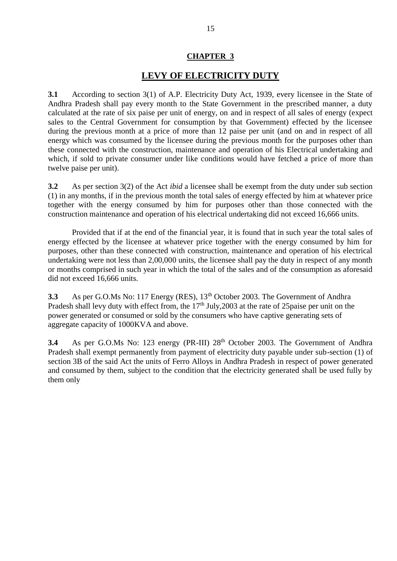## **LEVY OF ELECTRICITY DUTY**

**3.1** According to section 3(1) of A.P. Electricity Duty Act, 1939, every licensee in the State of Andhra Pradesh shall pay every month to the State Government in the prescribed manner, a duty calculated at the rate of six paise per unit of energy, on and in respect of all sales of energy (expect sales to the Central Government for consumption by that Government) effected by the licensee during the previous month at a price of more than 12 paise per unit (and on and in respect of all energy which was consumed by the licensee during the previous month for the purposes other than these connected with the construction, maintenance and operation of his Electrical undertaking and which, if sold to private consumer under like conditions would have fetched a price of more than twelve paise per unit).

**3.2** As per section 3(2) of the Act *ibid* a licensee shall be exempt from the duty under sub section (1) in any months, if in the previous month the total sales of energy effected by him at whatever price together with the energy consumed by him for purposes other than those connected with the construction maintenance and operation of his electrical undertaking did not exceed 16,666 units.

Provided that if at the end of the financial year, it is found that in such year the total sales of energy effected by the licensee at whatever price together with the energy consumed by him for purposes, other than these connected with construction, maintenance and operation of his electrical undertaking were not less than 2,00,000 units, the licensee shall pay the duty in respect of any month or months comprised in such year in which the total of the sales and of the consumption as aforesaid did not exceed 16,666 units.

**3.3** As per G.O.Ms No: 117 Energy (RES), 13<sup>th</sup> October 2003. The Government of Andhra Pradesh shall levy duty with effect from, the  $17<sup>th</sup>$  July, 2003 at the rate of 25 paise per unit on the power generated or consumed or sold by the consumers who have captive generating sets of aggregate capacity of 1000KVA and above.

**3.4** As per G.O.Ms No: 123 energy (PR-III) 28<sup>th</sup> October 2003. The Government of Andhra Pradesh shall exempt permanently from payment of electricity duty payable under sub-section (1) of section 3B of the said Act the units of Ferro Alloys in Andhra Pradesh in respect of power generated and consumed by them, subject to the condition that the electricity generated shall be used fully by them only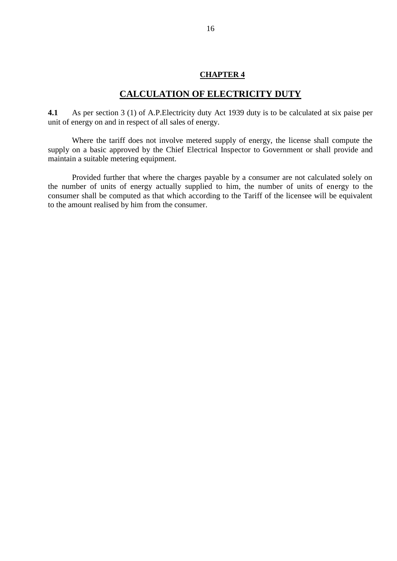#### **CALCULATION OF ELECTRICITY DUTY**

**4.1** As per section 3 (1) of A.P.Electricity duty Act 1939 duty is to be calculated at six paise per unit of energy on and in respect of all sales of energy.

Where the tariff does not involve metered supply of energy, the license shall compute the supply on a basic approved by the Chief Electrical Inspector to Government or shall provide and maintain a suitable metering equipment.

Provided further that where the charges payable by a consumer are not calculated solely on the number of units of energy actually supplied to him, the number of units of energy to the consumer shall be computed as that which according to the Tariff of the licensee will be equivalent to the amount realised by him from the consumer.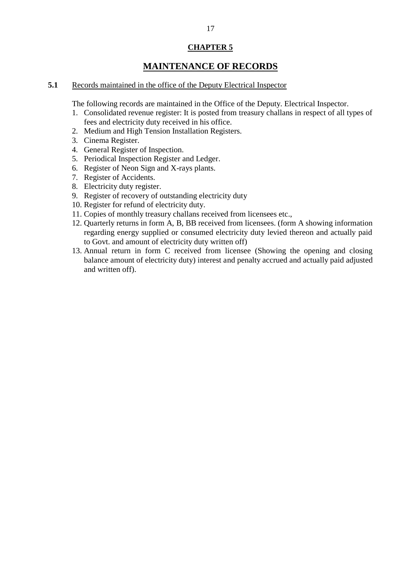## **MAINTENANCE OF RECORDS**

#### **5.1** Records maintained in the office of the Deputy Electrical Inspector

The following records are maintained in the Office of the Deputy. Electrical Inspector.

- 1. Consolidated revenue register: It is posted from treasury challans in respect of all types of fees and electricity duty received in his office.
- 2. Medium and High Tension Installation Registers.
- 3. Cinema Register.
- 4. General Register of Inspection.
- 5. Periodical Inspection Register and Ledger.
- 6. Register of Neon Sign and X-rays plants.
- 7. Register of Accidents.
- 8. Electricity duty register.
- 9. Register of recovery of outstanding electricity duty
- 10. Register for refund of electricity duty.
- 11. Copies of monthly treasury challans received from licensees etc.,
- 12. Quarterly returns in form A, B, BB received from licensees. (form A showing information regarding energy supplied or consumed electricity duty levied thereon and actually paid to Govt. and amount of electricity duty written off)
- 13. Annual return in form C received from licensee (Showing the opening and closing balance amount of electricity duty) interest and penalty accrued and actually paid adjusted and written off).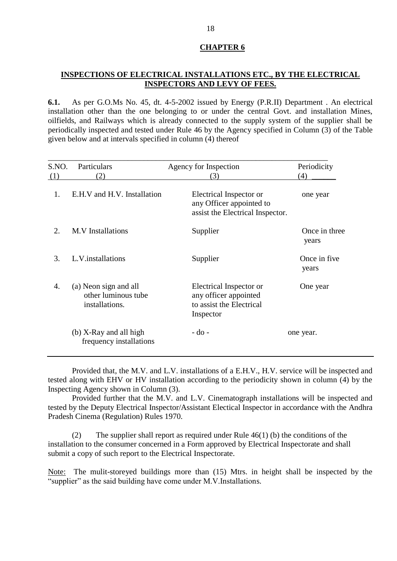#### **INSPECTIONS OF ELECTRICAL INSTALLATIONS ETC., BY THE ELECTRICAL INSPECTORS AND LEVY OF FEES.**

**6.1.** As per G.O.Ms No. 45, dt. 4-5-2002 issued by Energy (P.R.II) Department . An electrical installation other than the one belonging to or under the central Govt. and installation Mines, oilfields, and Railways which is already connected to the supply system of the supplier shall be periodically inspected and tested under Rule 46 by the Agency specified in Column (3) of the Table given below and at intervals specified in column (4) thereof

| S.NO. | Particulars                                                    | Agency for Inspection                                                                     | Periodicity            |
|-------|----------------------------------------------------------------|-------------------------------------------------------------------------------------------|------------------------|
| (1)   | (2)                                                            | (3)                                                                                       | (4)                    |
| 1.    | E.H.V and H.V. Installation                                    | Electrical Inspector or<br>any Officer appointed to<br>assist the Electrical Inspector.   | one year               |
| 2.    | <b>M.V</b> Installations                                       | Supplier                                                                                  | Once in three<br>years |
| 3.    | L.V.installations                                              | Supplier                                                                                  | Once in five<br>years  |
| 4.    | (a) Neon sign and all<br>other luminous tube<br>installations. | Electrical Inspector or<br>any officer appointed<br>to assist the Electrical<br>Inspector | One year               |
|       | (b) X-Ray and all high<br>frequency installations              | $-do$ -                                                                                   | one year.              |

Provided that, the M.V. and L.V. installations of a E.H.V., H.V. service will be inspected and tested along with EHV or HV installation according to the periodicity shown in column (4) by the Inspecting Agency shown in Column (3).

Provided further that the M.V. and L.V. Cinematograph installations will be inspected and tested by the Deputy Electrical Inspector/Assistant Electical Inspector in accordance with the Andhra Pradesh Cinema (Regulation) Rules 1970.

(2) The supplier shall report as required under Rule 46(1) (b) the conditions of the installation to the consumer concerned in a Form approved by Electrical Inspectorate and shall submit a copy of such report to the Electrical Inspectorate.

Note: The mulit-storeyed buildings more than (15) Mtrs. in height shall be inspected by the "supplier" as the said building have come under M.V.Installations.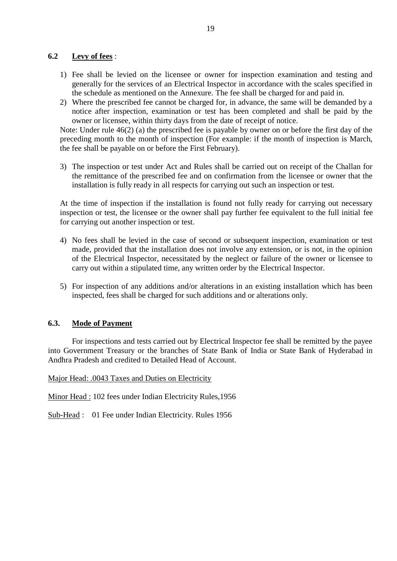#### **6.2 Levy of fees** :

- 1) Fee shall be levied on the licensee or owner for inspection examination and testing and generally for the services of an Electrical Inspector in accordance with the scales specified in the schedule as mentioned on the Annexure. The fee shall be charged for and paid in.
- 2) Where the prescribed fee cannot be charged for, in advance, the same will be demanded by a notice after inspection, examination or test has been completed and shall be paid by the owner or licensee, within thirty days from the date of receipt of notice.

Note: Under rule 46(2) (a) the prescribed fee is payable by owner on or before the first day of the preceding month to the month of inspection (For example: if the month of inspection is March, the fee shall be payable on or before the First February).

3) The inspection or test under Act and Rules shall be carried out on receipt of the Challan for the remittance of the prescribed fee and on confirmation from the licensee or owner that the installation is fully ready in all respects for carrying out such an inspection or test.

At the time of inspection if the installation is found not fully ready for carrying out necessary inspection or test, the licensee or the owner shall pay further fee equivalent to the full initial fee for carrying out another inspection or test.

- 4) No fees shall be levied in the case of second or subsequent inspection, examination or test made, provided that the installation does not involve any extension, or is not, in the opinion of the Electrical Inspector, necessitated by the neglect or failure of the owner or licensee to carry out within a stipulated time, any written order by the Electrical Inspector.
- 5) For inspection of any additions and/or alterations in an existing installation which has been inspected, fees shall be charged for such additions and or alterations only.

#### **6.3. Mode of Payment**

For inspections and tests carried out by Electrical Inspector fee shall be remitted by the payee into Government Treasury or the branches of State Bank of India or State Bank of Hyderabad in Andhra Pradesh and credited to Detailed Head of Account.

Major Head: .0043 Taxes and Duties on Electricity

Minor Head : 102 fees under Indian Electricity Rules,1956

Sub-Head : 01 Fee under Indian Electricity. Rules 1956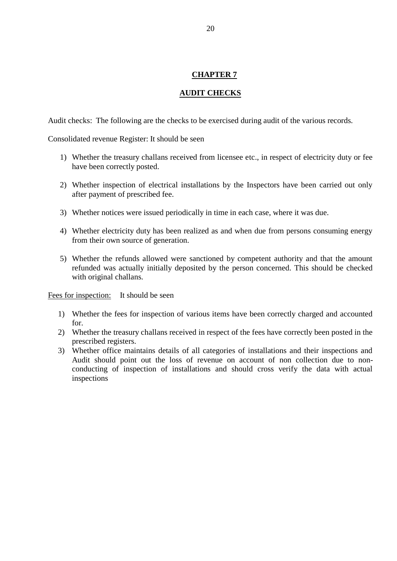#### **AUDIT CHECKS**

Audit checks: The following are the checks to be exercised during audit of the various records.

Consolidated revenue Register: It should be seen

- 1) Whether the treasury challans received from licensee etc., in respect of electricity duty or fee have been correctly posted.
- 2) Whether inspection of electrical installations by the Inspectors have been carried out only after payment of prescribed fee.
- 3) Whether notices were issued periodically in time in each case, where it was due.
- 4) Whether electricity duty has been realized as and when due from persons consuming energy from their own source of generation.
- 5) Whether the refunds allowed were sanctioned by competent authority and that the amount refunded was actually initially deposited by the person concerned. This should be checked with original challans.

Fees for inspection: It should be seen

- 1) Whether the fees for inspection of various items have been correctly charged and accounted for.
- 2) Whether the treasury challans received in respect of the fees have correctly been posted in the prescribed registers.
- 3) Whether office maintains details of all categories of installations and their inspections and Audit should point out the loss of revenue on account of non collection due to nonconducting of inspection of installations and should cross verify the data with actual inspections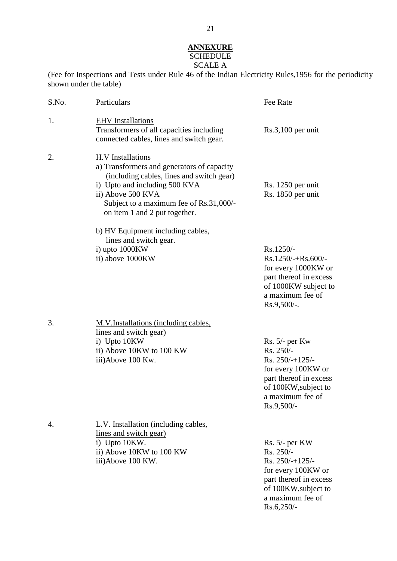### **ANNEXURE** <u>SCHEDULE</u> SCALE A

(Fee for Inspections and Tests under Rule 46 of the Indian Electricity Rules,1956 for the periodicity shown under the table)

| S.No. | Particulars                                                                                                                                                                                                                                           | Fee Rate                                                                                                                                                        |
|-------|-------------------------------------------------------------------------------------------------------------------------------------------------------------------------------------------------------------------------------------------------------|-----------------------------------------------------------------------------------------------------------------------------------------------------------------|
| 1.    | <b>EHV</b> Installations<br>Transformers of all capacities including<br>connected cables, lines and switch gear.                                                                                                                                      | $Rs.3,100$ per unit                                                                                                                                             |
| 2.    | <b>H.V</b> Installations<br>a) Transformers and generators of capacity<br>(including cables, lines and switch gear)<br>i) Upto and including 500 KVA<br>ii) Above 500 KVA<br>Subject to a maximum fee of Rs.31,000/-<br>on item 1 and 2 put together. | Rs. 1250 per unit<br>Rs. 1850 per unit                                                                                                                          |
|       | b) HV Equipment including cables,<br>lines and switch gear.<br>i) upto 1000KW<br>ii) above 1000KW                                                                                                                                                     | Rs.1250/-<br>Rs.1250/-+Rs.600/-<br>for every 1000KW or<br>part thereof in excess<br>of 1000KW subject to<br>a maximum fee of<br>$Rs.9,500/-.$                   |
| 3.    | M.V.Installations (including cables,<br>lines and switch gear)<br>i) Upto 10KW<br>ii) Above 10KW to 100 KW<br>iii)Above 100 Kw.                                                                                                                       | $Rs. 5/-$ per Kw<br>Rs. 250/-<br>Rs. $250/+125/-$<br>for every 100KW or<br>part thereof in excess<br>of 100KW, subject to<br>a maximum fee of<br>Rs.9,500/-     |
| 4.    | L.V. Installation (including cables,<br>lines and switch gear)<br>i) Upto 10KW.<br>ii) Above 10KW to 100 KW<br>iii)Above 100 KW.                                                                                                                      | $Rs. 5/-$ per KW<br>$Rs. 250/-$<br>Rs. $250/+125/-$<br>for every 100KW or<br>part thereof in excess<br>of 100KW, subject to<br>a maximum fee of<br>$Rs.6,250/-$ |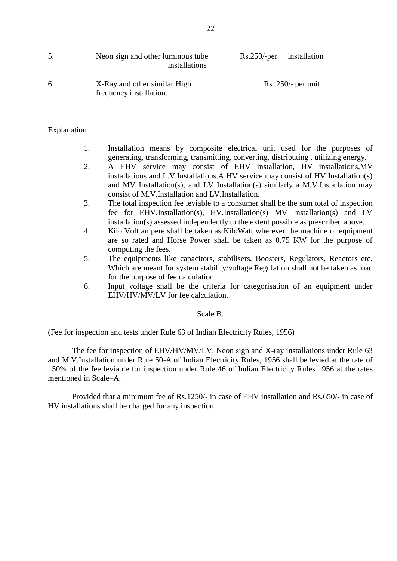| 5. | Neon sign and other luminous tube<br>installations      | $Rs.250$ /-per installation |                      |
|----|---------------------------------------------------------|-----------------------------|----------------------|
| 6. | X-Ray and other similar High<br>frequency installation. |                             | $Rs. 250/-$ per unit |

#### Explanation

- 1. Installation means by composite electrical unit used for the purposes of generating, transforming, transmitting, converting, distributing , utilizing energy.
- 2. A EHV service may consist of EHV installation, HV installations,MV installations and L.V.Installations.A HV service may consist of HV Installation(s) and MV Installation(s), and LV Installation(s) similarly a M.V.Installation may consist of M.V.Installation and LV.Installation.
- 3. The total inspection fee leviable to a consumer shall be the sum total of inspection fee for EHV.Installation(s), HV.Installation(s) MV Installation(s) and LV installation(s) assessed independently to the extent possible as prescribed above.
- 4. Kilo Volt ampere shall be taken as KiloWatt wherever the machine or equipment are so rated and Horse Power shall be taken as 0.75 KW for the purpose of computing the fees.
- 5. The equipments like capacitors, stabilisers, Boosters, Regulators, Reactors etc. Which are meant for system stability/voltage Regulation shall not be taken as load for the purpose of fee calculation.
- 6. Input voltage shall be the criteria for categorisation of an equipment under EHV/HV/MV/LV for fee calculation.

#### Scale B.

#### (Fee for inspection and tests under Rule 63 of Indian Electricity Rules, 1956)

The fee for inspection of EHV/HV/MV/LV, Neon sign and X-ray installations under Rule 63 and M.V.Installation under Rule 50-A of Indian Electricity Rules, 1956 shall be levied at the rate of 150% of the fee leviable for inspection under Rule 46 of Indian Electricity Rules 1956 at the rates mentioned in Scale–A.

Provided that a minimum fee of Rs.1250/- in case of EHV installation and Rs.650/- in case of HV installations shall be charged for any inspection.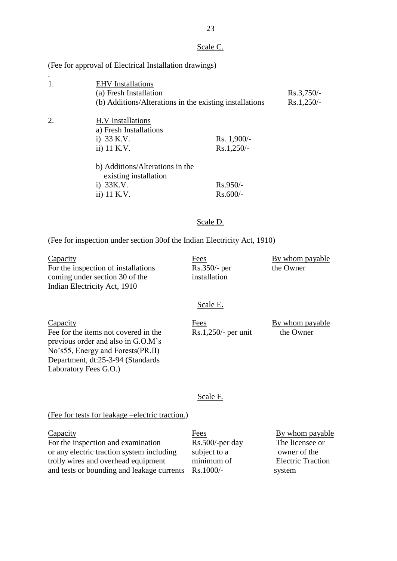#### Scale C.

#### (Fee for approval of Electrical Installation drawings)

.

| 1. | <b>EHV</b> Installations<br>(a) Fresh Installation<br>(b) Additions/Alterations in the existing installations |                               | $Rs.3,750/-$<br>$Rs.1,250/-$ |
|----|---------------------------------------------------------------------------------------------------------------|-------------------------------|------------------------------|
| 2. | H.V Installations<br>a) Fresh Installations<br>i) $33 K.V.$<br>ii) 11 K.V.                                    | $Rs. 1,900/-$<br>$Rs.1,250/-$ |                              |
|    | b) Additions/Alterations in the<br>existing installation<br>$i)$ 33K.V.<br>ii) 11 K.V.                        | $Rs.950/-$<br>$Rs.600/-$      |                              |

#### Scale D.

#### (Fee for inspection under section 30of the Indian Electricity Act, 1910)

Capacity<br>
Fees By whom payable<br>
For the inspection of installations<br>
Rs.350/- per By whom payable<br>
Rs.350/- per For the inspection of installations coming under section 30 of the installation Indian Electricity Act, 1910

#### Scale E.

 $\frac{\text{Eees}}{\text{Eepacity}}$  Even the items not covered in the  $\frac{\text{Ees}}{\text{Rs}.1,250/1}$  per unit the Owner Fee for the items not covered in the previous order and also in G.O.M's No's55, Energy and Forests(PR.II) Department, dt:25-3-94 (Standards Laboratory Fees G.O.)

#### Scale F.

#### (Fee for tests for leakage –electric traction.)

| Fees               | By whom payable                                      |
|--------------------|------------------------------------------------------|
| $Rs.500$ /-per day | The licensee or                                      |
| subject to a       | owner of the                                         |
| minimum of         | <b>Electric Traction</b>                             |
|                    | system                                               |
|                    | and tests or bounding and leakage currents Rs.1000/- |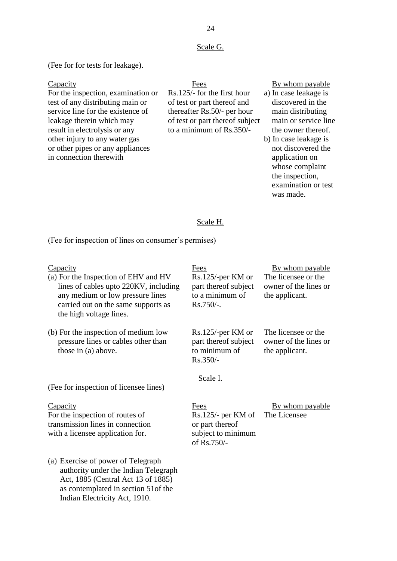#### Scale G.

#### (Fee for for tests for leakage).

For the inspection, examination or Rs.125/- for the first hour a) In case leakage is test of any distributing main or of test or part thereof and discovered in the service line for the existence of thereafter Rs.50/- per hour main distributing leakage therein which may of test or part thereof subject main or service line result in electrolysis or any to a minimum of Rs.350/- the owner thereof. other injury to any water gas b) In case leakage is or other pipes or any appliances not discovered the in connection therewith application on the connection on the connection on the connection on  $\alpha$ 

# Capacity Fees By whom payable

- 
- whose complaint the inspection, examination or test was made.

#### Scale H.

#### (Fee for inspection of lines on consumer's permises)

- (a) For the Inspection of EHV and HV Rs.125/-per KM or The licensee or the lines of cables upto 220KV, including part thereof subject owner of the lines or any medium or low pressure lines to a minimum of the applicant. carried out on the same supports as  $\frac{Rs.750}{-}$ . the high voltage lines.
- (b) For the inspection of medium low Rs.125/-per KM or The licensee or the pressure lines or cables other than part thereof subject owner of the lines or  $\frac{1}{2}$  those in (a) above. to minimum of the applicant.

#### (Fee for inspection of licensee lines)

For the inspection of routes of Rs.125/- per KM of The Licensee transmission lines in connection or part thereof with a licensee application for. subject to minimum

(a) Exercise of power of Telegraph authority under the Indian Telegraph Act, 1885 (Central Act 13 of 1885) as contemplated in section 51of the Indian Electricity Act, 1910.

Rs.350/-

# Capacity Fees By whom payable

#### Scale I.

Capacity **Fees** By whom payable of Rs.750/-